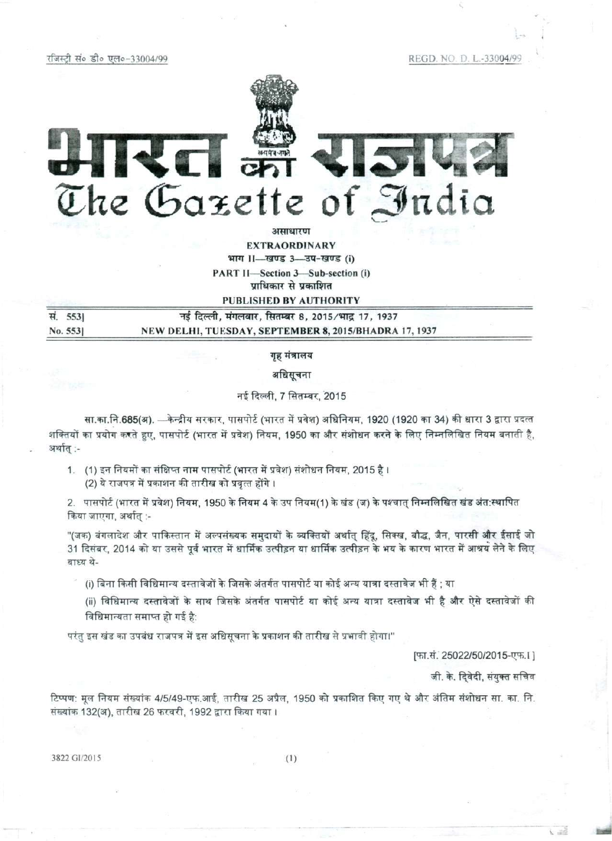रजिस्टी सं० डी० एल०-33004/99

REGD. NO. D. L.-33004/99



अमाधारण

**EXTRAORDINARY** भाग 11-खण्ड 3-3प-खण्ड (i) PART II-Section 3-Sub-section (i) प्राधिकार से प्रकाशित

**PUBLISHED BY AUTHORITY** 

| स. 5531 | नई दिल्ली, मंगलवार, सितम्बर 8, 2015/भाद्र 17, 1937    |
|---------|-------------------------------------------------------|
| No. 553 | NEW DELHI, TUESDAY, SEPTEMBER 8, 2015/BHADRA 17, 1937 |

गृह मंत्रालय

अधिसूचना

नई दिल्ली, 7 सितम्बर, 2015

सा.का.नि.685(अ). —केन्द्रीय सरकार, पासपोर्ट (भारत में प्रवेश) अधिनियम, 1920 (1920 का 34) की धारा 3 द्वारा प्रदत्त शक्तियों का प्रयोग करते हुए, पासपोर्ट (भारत में प्रवेश) नियम, 1950 का और संशोधन करने के लिए निम्नलिखित नियम बनाती है, अर्थात् :-

1. (1) इन नियमों का संक्षिप्त नाम पासपोर्ट (भारत में प्रवेश) संशोधन नियम, 2015 है । (2) ये राजपत्र में प्रकाशन की तारीख को प्रवृत्त होंगे ।

2. पासपोर्ट (भारत में प्रवेश) नियम, 1950 के नियम 4 के उप नियम(1) के खंड (ज) के पश्चात् निम्नलिखित खंड अंत:स्थापित किया जाएगा, अर्थात् :-

"(जक) बंगलादेश और पाकिस्तान में अल्पसंख्यक समुदायों के व्यक्तियों अर्थात् हिंदू, सिक्ख, बौद्ध, जैन, पारसी और ईसाई जो 31 दिसंबर, 2014 को या उससे पूर्व भारत में धार्मिक उत्पीड़न या धार्मिक उत्पीड़न के भय के कारण भारत में आश्रय लेने के लिए बाध्य थे-

- (i) बिना किसी विधिमान्य दस्तावेजों के जिसके अंतर्गत पासपोर्ट या कोई अन्य यात्रा दस्तावेज भी हैं ; या
- (ii) विधिमान्य दस्तावेजों के साथ जिसके अंतर्गत पासपोर्ट या कोई अन्य यात्रा दस्तावेज भी है और ऐसे दस्तावेजों की विधिमान्यता समाप्त हो गई है:

परंतु इस खंड का उपबंध राजपत्र में इस अधिसूचना के प्रकाशन की तारीख से प्रभावी होगा।"

[फा.सं. 25022/50/2015-एफ.1]

जी. के. दिवेदी, संयुक्त सचिव

टिप्पण: मूल नियम संख्यांक 4/5/49-एफ.आई, तारीख 25 अप्रैल, 1950 को प्रकाशित किए गए थे और अंतिम संशोधन सा. का. नि. संख्यांक 132(अ), तारीख 26 फरवरी, 1992 द्वारा किया गया ।

3822 GI/2015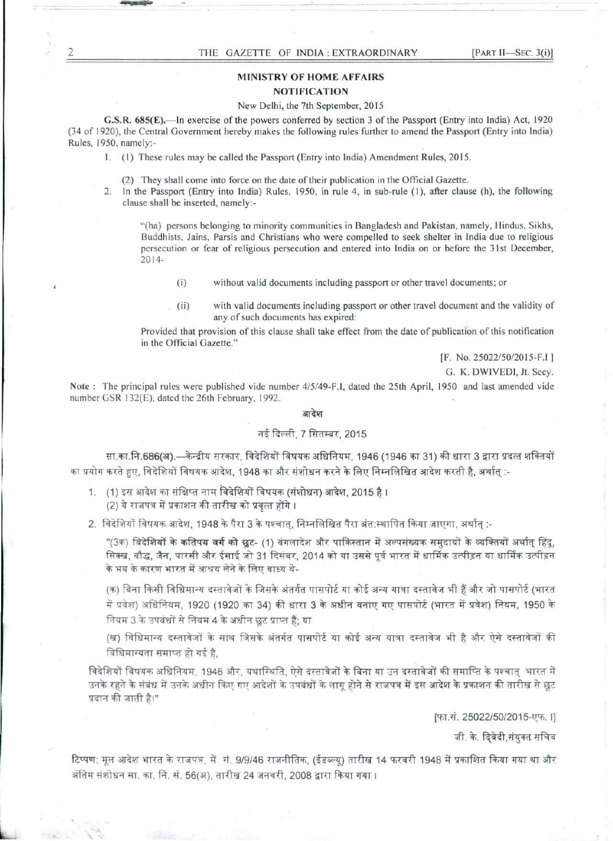# **MINISTRY OF HOME AFFAIRS NOTIFICATION**

#### New Delhi, the 7th September, 2015

**G.S.R. 685(E).**—In exercise of the powers conferred by section 3 of the Passport (Entry into India) Act, 1920 (34 of 1920), the Central Government hereby makes the following rules further to amend the Passport (Entry into India) Rules, 1950, namely:-

1. (1) These rules may be called the Passport (Entry into India) Amendment Rules, 2015.

(2) They shall come into force on the date of their publication in the Official Gazette.

2. In the Passport (Entry into India) Rules, 1950, in rule 4, in sub-rule (1), after clause (h), the following clause shall be inserted, namely:-

"(ha) persons belonging to minority communities in Bangladesh and Pakistan, namely, Hindus, Sikhs, Buddhists, Jains, Parsis and Christians who were compelled to seek shelter in India due to religious persecution or fear of religious persecution and entered into India on or before the 31st December, 2014-

- (i) without valid documents including passport or other travel documents; or
- (ii) with valid documents including passport or other travel document and the validity of any of such documents has expired:

Provided that provision of this clause shall take effect from the date of publication of this notification in the Official Gazette."

[F. No. 25022/50/2015-F.I ]

G. K. DWIVEDI, Jt. Secy.

**Note** : The principal rules were published vide number 4/5/49-F.I, dated the 25th April, 1950 and last amended vide number GSR 132(E), dated the 26th February, 1992.

#### आदेश

## नई दिल्ली, 7 सितम्बर, 2015

सा.का.नि.686(अ).—केन्द्रीय सरकार, विदेशियों विषयक अधिनियम, 1946 (1946 का 31) की धारा 3 द्वारा प्रदत्त शक्तियों का प्रयोग करते हुए, विदेशियों विषयक आदेश, 1948 का और संशोधन करने के लिए निम्नलिखित आदेश करती है, अर्थात् :-

1. (1) इस आदेश का संक्षिप्त नाम विदेशियों विषयक (संशोधन) आदेश, 2015 है। (2) ये राजपत्र में प्रकाशन की तारीख को प्रवृत्त होंगे ।

2. विदेशियों विषयक आदेश, 1948 के पैरा 3 के पश्चात्, निम्नलिखित पैरा अंत:स्थापित किया जाएगा, अर्थात् :-

"(3क) विदेशियों के कतिपय वर्ग को छूट- (1) बंगलादेश और पाकिस्तान में अल्पसंख्यक समदायों के व्यक्तियों अर्थात् हिंदू, सिक्ख, बौद्ध, जैन, पारसी और ईसाई जो 31 दिसंबर, 2014 को या उससे पूर्व भारत में धार्मिक उत्पीड़न या धार्मिक उत्पीड़न के भय के कारण भारत में आश्रय लेने के लिए बाध्य थे-

(क) बिना किसी विधिमान्य दस्तावेजों के जिसके अंतर्गत पासपोर्ट या कोई अन्य यात्रा दस्तावेज भी हैं और जो पासपोर्ट (भारत में प्रवेश) अधिनियम, 1920 (1920 का 34) की धारा 3 के अधीन बनाए गए पासपोर्ट (भारत में प्रवेश) नियम, 1950 के नियम 3 के उपबंधों से नियम 4 के अधीन छूट प्राप्त हैं; या

(ख) विधिमान्य दस्तावेजों के साथ जिसके अंतर्गत पासपोर्ट या कोई अन्य यात्रा दस्तावेज भी है और ऐसे दस्तावेजों की विधिमान्यता समाप्त हो गई है,

विदेशियों विषयक अधिनियम, 1946 और, यथास्थिति, ऐसे दस्तावेजों के बिना या उन दस्तावेजों की समाप्ति के पश्चात् भारत में उनके रहने के संबंध में उनके अधीन किए गए आदेशों के उपबंधों के लागू होने से राजपत्र में इस आदेश के प्रकाशन की तारीख से छूट प्रदान की जाती है।"

[फा.सं. 25022/50/2015-एफ. I]

जी. के. दिवेदी,संयुक्त सचिव

टिप्पण: मूल आदेश भारत के राजपत्र, में सं. 9/9/46 राजनीतिक, (ईडब्ल्यू) तारीख 14 फरवरी 1948 में प्रकाशित किया गया था और अंतिम संशोधन सा. का. नि. सं. 56(अ), तारीख 24 जनवरी, 2008 द्वारा किया गया ।